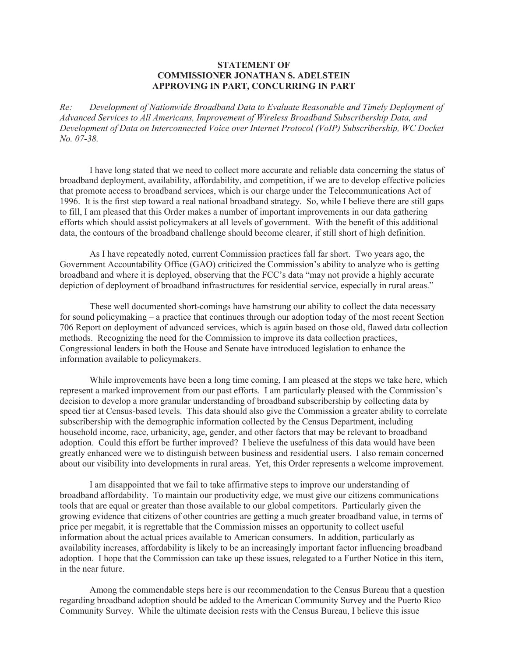## **STATEMENT OF COMMISSIONER JONATHAN S. ADELSTEIN APPROVING IN PART, CONCURRING IN PART**

*Re: Development of Nationwide Broadband Data to Evaluate Reasonable and Timely Deployment of Advanced Services to All Americans, Improvement of Wireless Broadband Subscribership Data, and Development of Data on Interconnected Voice over Internet Protocol (VoIP) Subscribership, WC Docket No. 07-38.*

I have long stated that we need to collect more accurate and reliable data concerning the status of broadband deployment, availability, affordability, and competition, if we are to develop effective policies that promote access to broadband services, which is our charge under the Telecommunications Act of 1996. It is the first step toward a real national broadband strategy. So, while I believe there are still gaps to fill, I am pleased that this Order makes a number of important improvements in our data gathering efforts which should assist policymakers at all levels of government. With the benefit of this additional data, the contours of the broadband challenge should become clearer, if still short of high definition.

As I have repeatedly noted, current Commission practices fall far short. Two years ago, the Government Accountability Office (GAO) criticized the Commission's ability to analyze who is getting broadband and where it is deployed, observing that the FCC's data "may not provide a highly accurate depiction of deployment of broadband infrastructures for residential service, especially in rural areas."

These well documented short-comings have hamstrung our ability to collect the data necessary for sound policymaking – a practice that continues through our adoption today of the most recent Section 706 Report on deployment of advanced services, which is again based on those old, flawed data collection methods. Recognizing the need for the Commission to improve its data collection practices, Congressional leaders in both the House and Senate have introduced legislation to enhance the information available to policymakers.

While improvements have been a long time coming, I am pleased at the steps we take here, which represent a marked improvement from our past efforts. I am particularly pleased with the Commission's decision to develop a more granular understanding of broadband subscribership by collecting data by speed tier at Census-based levels. This data should also give the Commission a greater ability to correlate subscribership with the demographic information collected by the Census Department, including household income, race, urbanicity, age, gender, and other factors that may be relevant to broadband adoption. Could this effort be further improved? I believe the usefulness of this data would have been greatly enhanced were we to distinguish between business and residential users. I also remain concerned about our visibility into developments in rural areas. Yet, this Order represents a welcome improvement.

I am disappointed that we fail to take affirmative steps to improve our understanding of broadband affordability. To maintain our productivity edge, we must give our citizens communications tools that are equal or greater than those available to our global competitors. Particularly given the growing evidence that citizens of other countries are getting a much greater broadband value, in terms of price per megabit, it is regrettable that the Commission misses an opportunity to collect useful information about the actual prices available to American consumers. In addition, particularly as availability increases, affordability is likely to be an increasingly important factor influencing broadband adoption. I hope that the Commission can take up these issues, relegated to a Further Notice in this item, in the near future.

Among the commendable steps here is our recommendation to the Census Bureau that a question regarding broadband adoption should be added to the American Community Survey and the Puerto Rico Community Survey. While the ultimate decision rests with the Census Bureau, I believe this issue